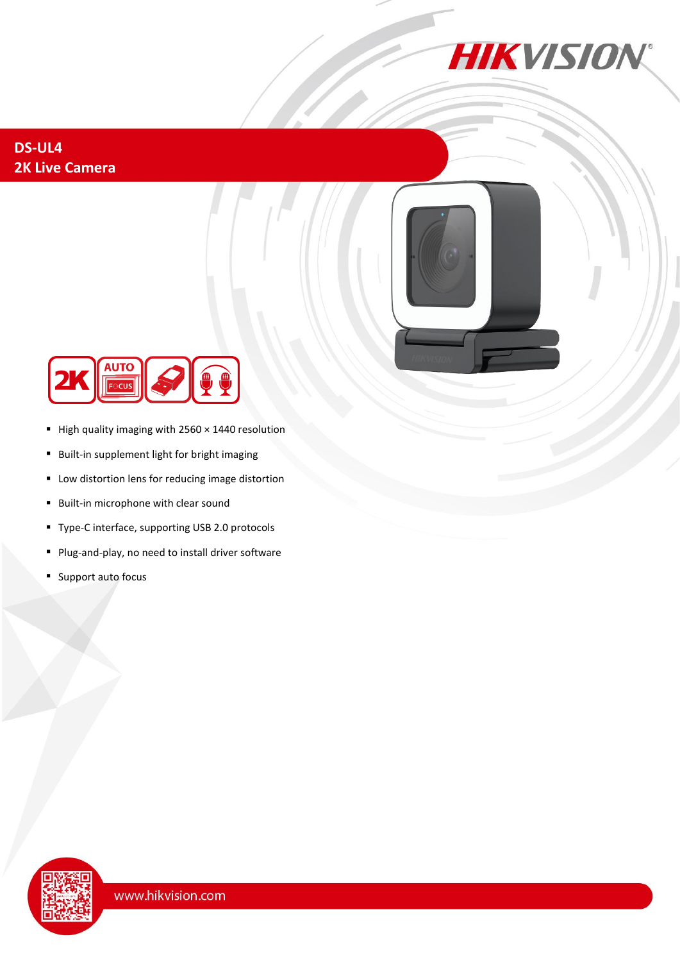

## **DS-UL4 2K Live Camera**





- High quality imaging with 2560 × 1440 resolution
- Built-in supplement light for bright imaging
- Low distortion lens for reducing image distortion
- Built-in microphone with clear sound
- Type-C interface, supporting USB 2.0 protocols
- Plug-and-play, no need to install driver software
- Support auto focus

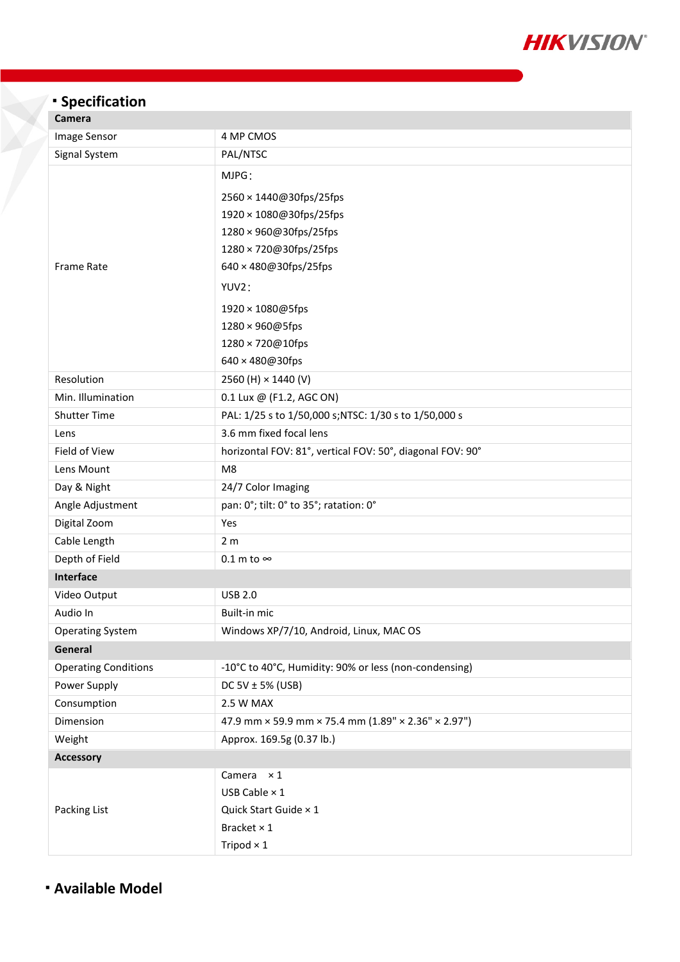

## <sup>◼</sup> **Specification**

| cannera                     |                                                           |
|-----------------------------|-----------------------------------------------------------|
| Image Sensor                | 4 MP CMOS                                                 |
| Signal System               | PAL/NTSC                                                  |
|                             | MJPG:                                                     |
|                             | 2560 × 1440@30fps/25fps                                   |
|                             | 1920 × 1080@30fps/25fps                                   |
|                             | 1280 × 960@30fps/25fps                                    |
|                             | 1280 × 720@30fps/25fps                                    |
| <b>Frame Rate</b>           | 640 × 480@30fps/25fps                                     |
|                             | YUV2:                                                     |
|                             | 1920 × 1080@5fps                                          |
|                             | 1280 × 960@5fps                                           |
|                             | 1280 × 720@10fps                                          |
|                             | 640 × 480@30fps                                           |
| Resolution                  | 2560 (H) × 1440 (V)                                       |
| Min. Illumination           | 0.1 Lux @ (F1.2, AGC ON)                                  |
| <b>Shutter Time</b>         | PAL: 1/25 s to 1/50,000 s;NTSC: 1/30 s to 1/50,000 s      |
| Lens                        | 3.6 mm fixed focal lens                                   |
| Field of View               | horizontal FOV: 81°, vertical FOV: 50°, diagonal FOV: 90° |
| Lens Mount                  | M <sub>8</sub>                                            |
| Day & Night                 | 24/7 Color Imaging                                        |
| Angle Adjustment            | pan: 0°; tilt: 0° to 35°; ratation: 0°                    |
| Digital Zoom                | Yes                                                       |
| Cable Length                | 2 <sub>m</sub>                                            |
| Depth of Field              | $0.1$ m to $\infty$                                       |
| <b>Interface</b>            |                                                           |
| Video Output                | <b>USB 2.0</b>                                            |
| Audio In                    | Built-in mic                                              |
| <b>Operating System</b>     | Windows XP/7/10, Android, Linux, MAC OS                   |
| General                     |                                                           |
| <b>Operating Conditions</b> | -10°C to 40°C, Humidity: 90% or less (non-condensing)     |
| Power Supply                | DC 5V $\pm$ 5% (USB)                                      |
| Consumption                 | 2.5 W MAX                                                 |
| Dimension                   | 47.9 mm × 59.9 mm × 75.4 mm (1.89" × 2.36" × 2.97")       |
| Weight                      | Approx. 169.5g (0.37 lb.)                                 |
| <b>Accessory</b>            |                                                           |
| Packing List                | Camera $\times 1$                                         |
|                             | USB Cable $\times$ 1                                      |
|                             | Quick Start Guide × 1                                     |
|                             | Bracket × 1                                               |
|                             | Tripod $\times$ 1                                         |

<sup>◼</sup> **Available Model**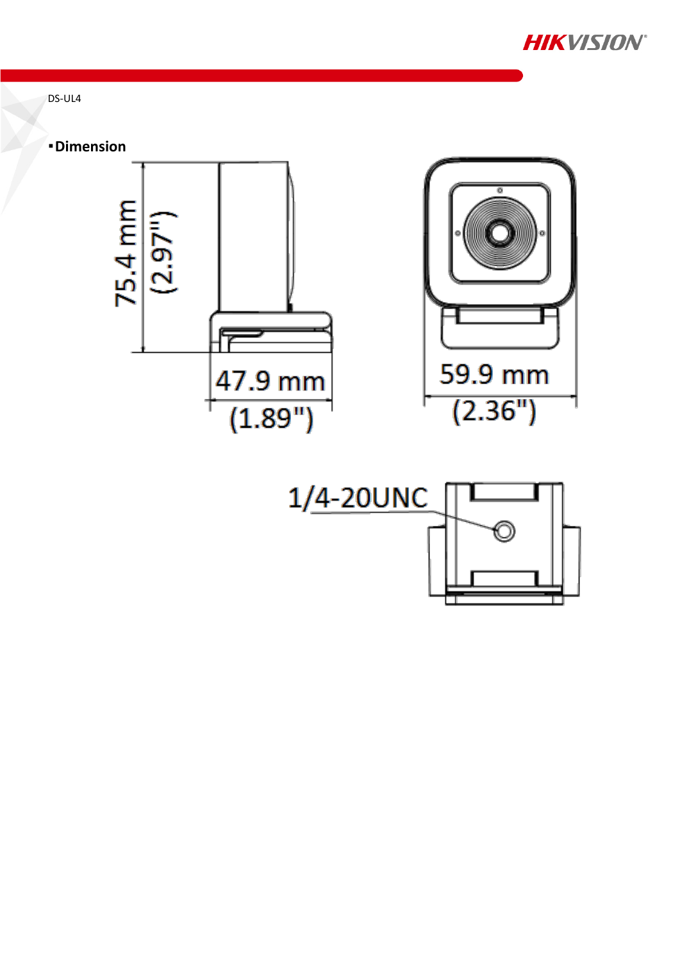